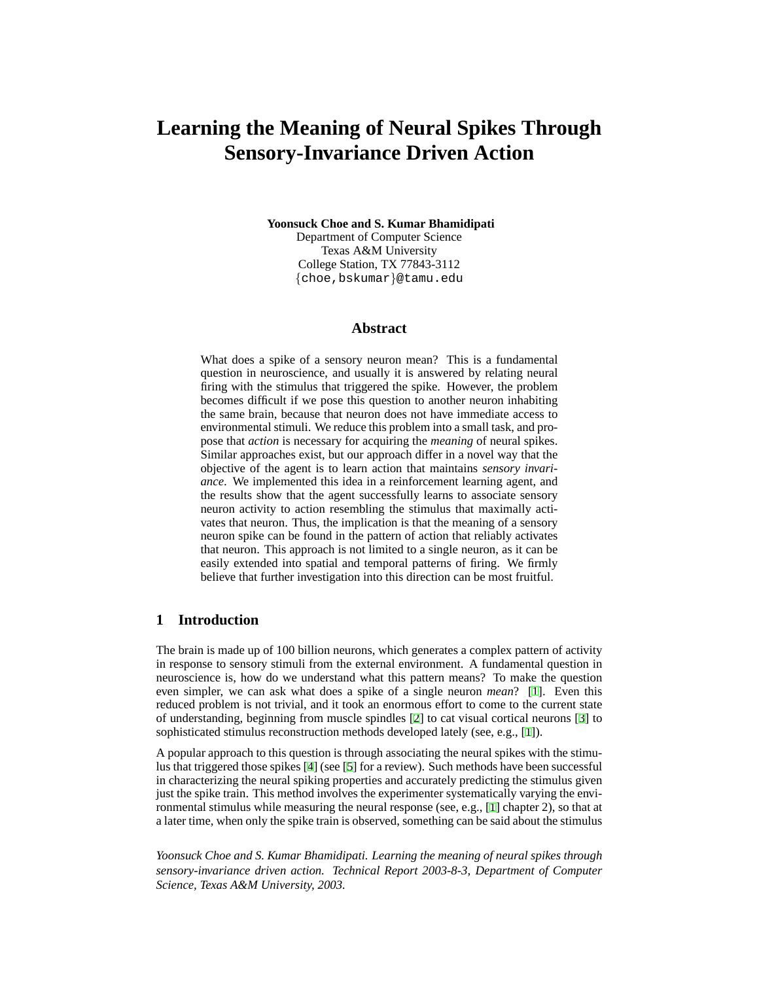# **Learning the Meaning of Neural Spikes Through Sensory-Invariance Driven Action**

**Yoonsuck Choe and S. Kumar Bhamidipati**

Department of Computer Science Texas A&M University College Station, TX 77843-3112 {choe,bskumar}@tamu.edu

### **Abstract**

What does a spike of a sensory neuron mean? This is a fundamental question in neuroscience, and usually it is answered by relating neural firing with the stimulus that triggered the spike. However, the problem becomes difficult if we pose this question to another neuron inhabiting the same brain, because that neuron does not have immediate access to environmental stimuli. We reduce this problem into a small task, and propose that *action* is necessary for acquiring the *meaning* of neural spikes. Similar approaches exist, but our approach differ in a novel way that the objective of the agent is to learn action that maintains *sensory invariance*. We implemented this idea in a reinforcement learning agent, and the results show that the agent successfully learns to associate sensory neuron activity to action resembling the stimulus that maximally activates that neuron. Thus, the implication is that the meaning of a sensory neuron spike can be found in the pattern of action that reliably activates that neuron. This approach is not limited to a single neuron, as it can be easily extended into spatial and temporal patterns of firing. We firmly believe that further investigation into this direction can be most fruitful.

# **1 Introduction**

The brain is made up of 100 billion neurons, which generates a complex pattern of activity in response to sensory stimuli from the external environment. A fundamental question in neuroscience is, how do we understand what this pattern means? To make the question even simpler, we can ask what does a spike of a single neuron *mean*? [\[1](#page-7-0)]. Even this reduced problem is not trivial, and it took an enormous effort to come to the current state of understanding, beginning from muscle spindles [[2\]](#page-7-1) to cat visual cortical neurons [\[3](#page-7-2)] to sophisticated stimulus reconstruction methods developed lately (see, e.g., [[1\]](#page-7-0)).

A popular approach to this question is through associating the neural spikes with the stimulus that triggered those spikes [\[4](#page-7-3)] (see [[5\]](#page-7-4) for a review). Such methods have been successful in characterizing the neural spiking properties and accurately predicting the stimulus given just the spike train. This method involves the experimenter systematically varying the environmental stimulus while measuring the neural response (see, e.g., [\[1](#page-7-0)] chapter 2), so that at a later time, when only the spike train is observed, something can be said about the stimulus

*Yoonsuck Choe and S. Kumar Bhamidipati. Learning the meaning of neural spikes through sensory-invariance driven action. Technical Report 2003-8-3, Department of Computer Science, Texas A&M University, 2003.*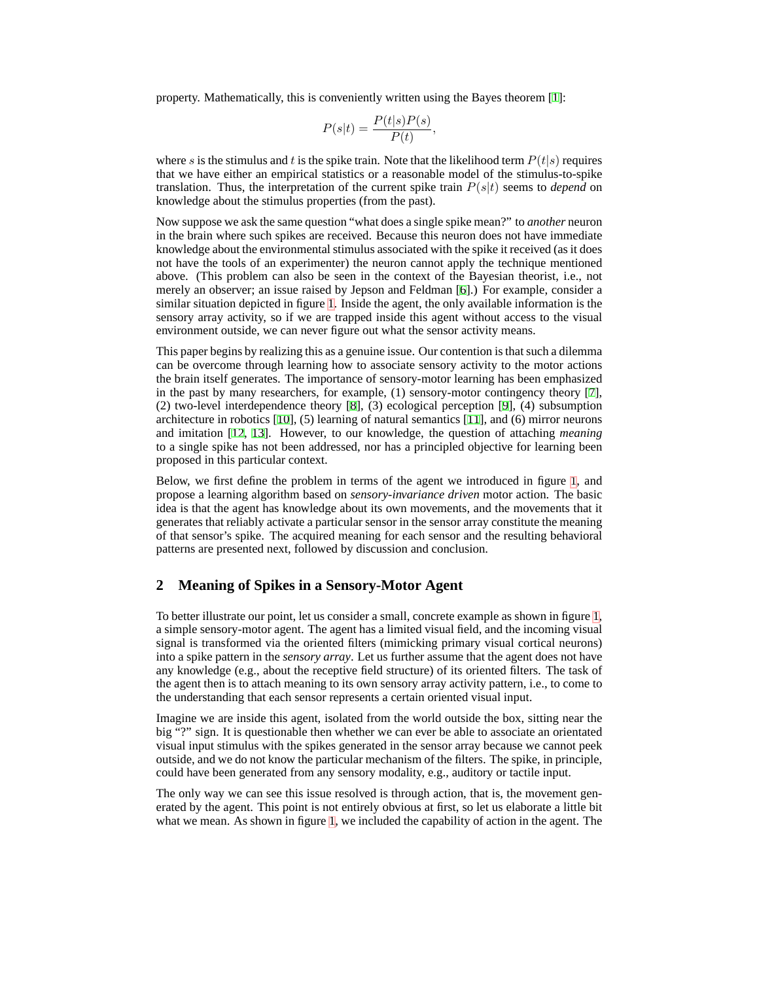property. Mathematically, this is conveniently written using the Bayes theorem [[1\]](#page-7-0):

$$
P(s|t) = \frac{P(t|s)P(s)}{P(t)},
$$

where s is the stimulus and t is the spike train. Note that the likelihood term  $P(t|s)$  requires that we have either an empirical statistics or a reasonable model of the stimulus-to-spike translation. Thus, the interpretation of the current spike train  $P(s|t)$  seems to *depend* on knowledge about the stimulus properties (from the past).

Now suppose we ask the same question "what does a single spike mean?" to *another* neuron in the brain where such spikes are received. Because this neuron does not have immediate knowledge about the environmental stimulus associated with the spike it received (as it does not have the tools of an experimenter) the neuron cannot apply the technique mentioned above. (This problem can also be seen in the context of the Bayesian theorist, i.e., not merely an observer; an issue raised by Jepson and Feldman [\[6](#page-7-5)].) For example, consider a similar situation depicted in figure [1.](#page-2-0) Inside the agent, the only available information is the sensory array activity, so if we are trapped inside this agent without access to the visual environment outside, we can never figure out what the sensor activity means.

This paper begins by realizing this as a genuine issue. Our contention is that such a dilemma can be overcome through learning how to associate sensory activity to the motor actions the brain itself generates. The importance of sensory-motor learning has been emphasized in the past by many researchers, for example, (1) sensory-motor contingency theory [\[7](#page-7-6)], (2) two-level interdependence theory [[8\]](#page-7-7), (3) ecological perception [\[9](#page-7-8)], (4) subsumption architecture in robotics [[10\]](#page-7-9), (5) learning of natural semantics [\[11](#page-7-10)], and (6) mirror neurons and imitation [\[12](#page-7-11), [13](#page-7-12)]. However, to our knowledge, the question of attaching *meaning* to a single spike has not been addressed, nor has a principled objective for learning been proposed in this particular context.

Below, we first define the problem in terms of the agent we introduced in figure [1](#page-2-0), and propose a learning algorithm based on *sensory-invariance driven* motor action. The basic idea is that the agent has knowledge about its own movements, and the movements that it generates that reliably activate a particular sensor in the sensor array constitute the meaning of that sensor's spike. The acquired meaning for each sensor and the resulting behavioral patterns are presented next, followed by discussion and conclusion.

# **2 Meaning of Spikes in a Sensory-Motor Agent**

To better illustrate our point, let us consider a small, concrete example as shown in figure [1,](#page-2-0) a simple sensory-motor agent. The agent has a limited visual field, and the incoming visual signal is transformed via the oriented filters (mimicking primary visual cortical neurons) into a spike pattern in the *sensory array*. Let us further assume that the agent does not have any knowledge (e.g., about the receptive field structure) of its oriented filters. The task of the agent then is to attach meaning to its own sensory array activity pattern, i.e., to come to the understanding that each sensor represents a certain oriented visual input.

Imagine we are inside this agent, isolated from the world outside the box, sitting near the big "?" sign. It is questionable then whether we can ever be able to associate an orientated visual input stimulus with the spikes generated in the sensor array because we cannot peek outside, and we do not know the particular mechanism of the filters. The spike, in principle, could have been generated from any sensory modality, e.g., auditory or tactile input.

The only way we can see this issue resolved is through action, that is, the movement generated by the agent. This point is not entirely obvious at first, so let us elaborate a little bit what we mean. As shown in figure [1](#page-2-0), we included the capability of action in the agent. The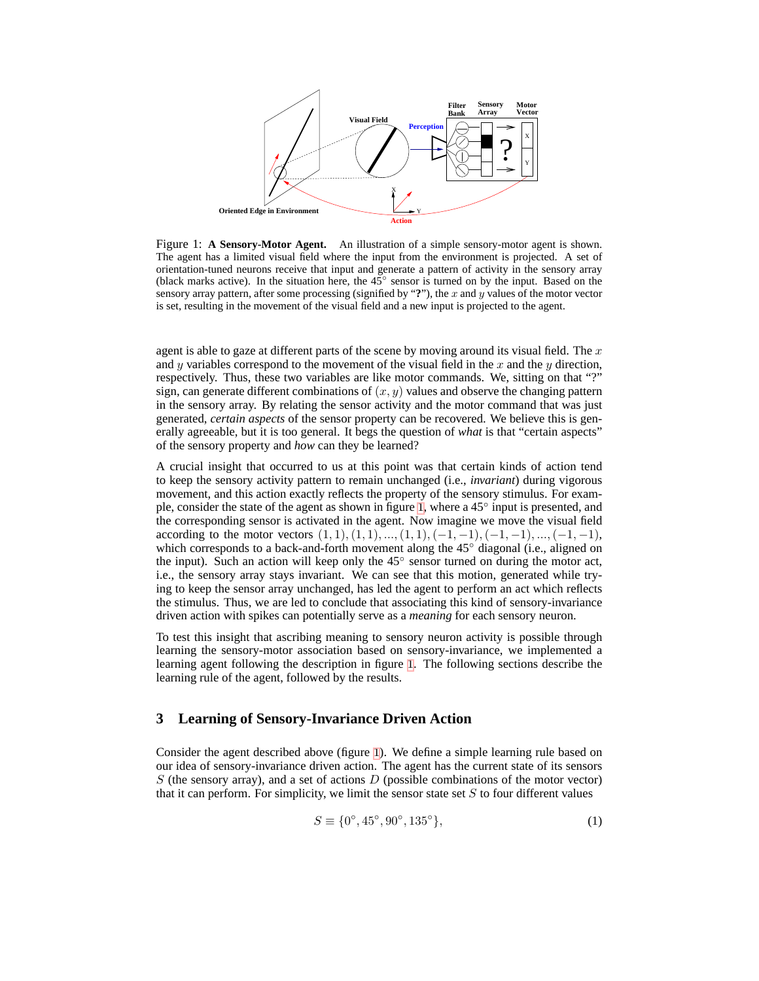

<span id="page-2-0"></span>Figure 1: **A Sensory-Motor Agent.** An illustration of a simple sensory-motor agent is shown. The agent has a limited visual field where the input from the environment is projected. A set of orientation-tuned neurons receive that input and generate a pattern of activity in the sensory array (black marks active). In the situation here, the 45◦ sensor is turned on by the input. Based on the sensory array pattern, after some processing (signified by "**?**"), the x and y values of the motor vector is set, resulting in the movement of the visual field and a new input is projected to the agent.

agent is able to gaze at different parts of the scene by moving around its visual field. The  $x$ and y variables correspond to the movement of the visual field in the x and the y direction, respectively. Thus, these two variables are like motor commands. We, sitting on that "?" sign, can generate different combinations of  $(x, y)$  values and observe the changing pattern in the sensory array. By relating the sensor activity and the motor command that was just generated, *certain aspects* of the sensor property can be recovered. We believe this is generally agreeable, but it is too general. It begs the question of *what* is that "certain aspects" of the sensory property and *how* can they be learned?

A crucial insight that occurred to us at this point was that certain kinds of action tend to keep the sensory activity pattern to remain unchanged (i.e., *invariant*) during vigorous movement, and this action exactly reflects the property of the sensory stimulus. For exam-ple, consider the state of the agent as shown in figure [1](#page-2-0), where a 45° input is presented, and the corresponding sensor is activated in the agent. Now imagine we move the visual field according to the motor vectors  $(1, 1), (1, 1), ..., (1, 1), (-1, -1), (-1, -1), ..., (-1, -1),$ which corresponds to a back-and-forth movement along the 45° diagonal (i.e., aligned on the input). Such an action will keep only the  $45^\circ$  sensor turned on during the motor act, i.e., the sensory array stays invariant. We can see that this motion, generated while trying to keep the sensor array unchanged, has led the agent to perform an act which reflects the stimulus. Thus, we are led to conclude that associating this kind of sensory-invariance driven action with spikes can potentially serve as a *meaning* for each sensory neuron.

To test this insight that ascribing meaning to sensory neuron activity is possible through learning the sensory-motor association based on sensory-invariance, we implemented a learning agent following the description in figure [1.](#page-2-0) The following sections describe the learning rule of the agent, followed by the results.

# **3 Learning of Sensory-Invariance Driven Action**

Consider the agent described above (figure [1](#page-2-0)). We define a simple learning rule based on our idea of sensory-invariance driven action. The agent has the current state of its sensors  $S$  (the sensory array), and a set of actions  $D$  (possible combinations of the motor vector) that it can perform. For simplicity, we limit the sensor state set  $S$  to four different values

<span id="page-2-1"></span>
$$
S \equiv \{0^{\circ}, 45^{\circ}, 90^{\circ}, 135^{\circ}\},\tag{1}
$$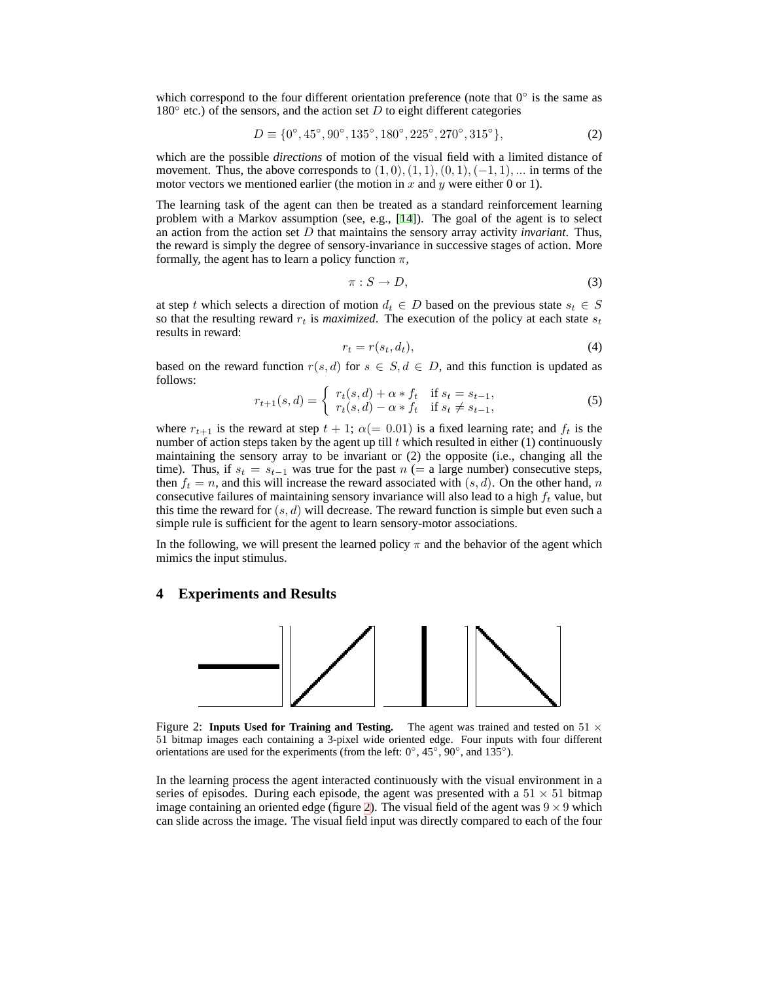which correspond to the four different orientation preference (note that  $0^{\circ}$  is the same as  $180^\circ$  etc.) of the sensors, and the action set D to eight different categories

<span id="page-3-2"></span>
$$
D \equiv \{0^{\circ}, 45^{\circ}, 90^{\circ}, 135^{\circ}, 180^{\circ}, 225^{\circ}, 270^{\circ}, 315^{\circ}\},\tag{2}
$$

which are the possible *directions* of motion of the visual field with a limited distance of movement. Thus, the above corresponds to  $(1, 0), (1, 1), (0, 1), (-1, 1), \ldots$  in terms of the motor vectors we mentioned earlier (the motion in x and y were either 0 or 1).

The learning task of the agent can then be treated as a standard reinforcement learning problem with a Markov assumption (see, e.g., [[14\]](#page-7-13)). The goal of the agent is to select an action from the action set D that maintains the sensory array activity *invariant*. Thus, the reward is simply the degree of sensory-invariance in successive stages of action. More formally, the agent has to learn a policy function  $\pi$ ,

$$
\pi: S \to D,\tag{3}
$$

at step t which selects a direction of motion  $d_t \in D$  based on the previous state  $s_t \in S$ so that the resulting reward  $r_t$  is *maximized*. The execution of the policy at each state  $s_t$ results in reward:

$$
r_t = r(s_t, d_t),\tag{4}
$$

based on the reward function  $r(s, d)$  for  $s \in S, d \in D$ , and this function is updated as follows:

<span id="page-3-1"></span>
$$
r_{t+1}(s,d) = \begin{cases} r_t(s,d) + \alpha * f_t & \text{if } s_t = s_{t-1}, \\ r_t(s,d) - \alpha * f_t & \text{if } s_t \neq s_{t-1}, \end{cases}
$$
(5)

where  $r_{t+1}$  is the reward at step  $t + 1$ ;  $\alpha (= 0.01)$  is a fixed learning rate; and  $f_t$  is the number of action steps taken by the agent up till  $t$  which resulted in either (1) continuously maintaining the sensory array to be invariant or (2) the opposite (i.e., changing all the time). Thus, if  $s_t = s_{t-1}$  was true for the past  $n (= a \text{ large number})$  consecutive steps, then  $f_t = n$ , and this will increase the reward associated with  $(s, d)$ . On the other hand, n consecutive failures of maintaining sensory invariance will also lead to a high  $f_t$  value, but this time the reward for  $(s, d)$  will decrease. The reward function is simple but even such a simple rule is sufficient for the agent to learn sensory-motor associations.

In the following, we will present the learned policy  $\pi$  and the behavior of the agent which mimics the input stimulus.

#### **4 Experiments and Results**



<span id="page-3-0"></span>Figure 2: **Inputs Used for Training and Testing.** The agent was trained and tested on 51  $\times$ 51 bitmap images each containing a 3-pixel wide oriented edge. Four inputs with four different orientations are used for the experiments (from the left:  $0^\circ$ ,  $45^\circ$ ,  $90^\circ$ , and  $135^\circ$ ).

In the learning process the agent interacted continuously with the visual environment in a series of episodes. During each episode, the agent was presented with a  $51 \times 51$  bitmap image containing an oriented edge (figure [2\)](#page-3-0). The visual field of the agent was  $9 \times 9$  which can slide across the image. The visual field input was directly compared to each of the four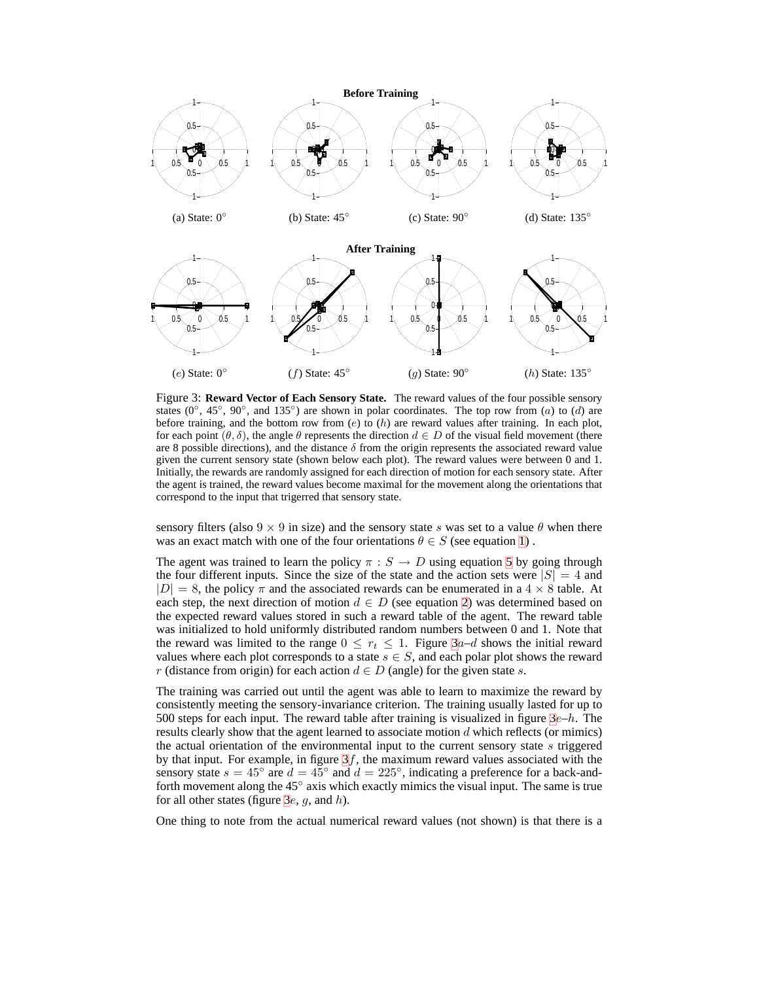

<span id="page-4-0"></span>Figure 3: **Reward Vector of Each Sensory State.** The reward values of the four possible sensory states (0°, 45°, 90°, and 135°) are shown in polar coordinates. The top row from (a) to (d) are before training, and the bottom row from  $(e)$  to  $(h)$  are reward values after training. In each plot, for each point  $(\theta, \delta)$ , the angle  $\theta$  represents the direction  $d \in D$  of the visual field movement (there are 8 possible directions), and the distance  $\delta$  from the origin represents the associated reward value given the current sensory state (shown below each plot). The reward values were between 0 and 1. Initially, the rewards are randomly assigned for each direction of motion for each sensory state. After the agent is trained, the reward values become maximal for the movement along the orientations that correspond to the input that trigerred that sensory state.

sensory filters (also  $9 \times 9$  in size) and the sensory state s was set to a value  $\theta$  when there was an exact match with one of the four orientations  $\theta \in S$  (see equation [1\)](#page-2-1).

The agent was trained to learn the policy  $\pi : S \to D$  using equation [5](#page-3-1) by going through the four different inputs. Since the size of the state and the action sets were  $|S| = 4$  and  $|D| = 8$ , the policy  $\pi$  and the associated rewards can be enumerated in a  $4 \times 8$  table. At each step, the next direction of motion  $d \in D$  (see equation [2\)](#page-3-2) was determined based on the expected reward values stored in such a reward table of the agent. The reward table was initialized to hold uniformly distributed random numbers between 0 and 1. Note that the reward was limited to the range  $0 \leq r_t \leq 1$ . Figure  $3a-d$  shows the initial reward values where each plot corresponds to a state  $s \in S$ , and each polar plot shows the reward r (distance from origin) for each action  $d \in D$  (angle) for the given state s.

The training was carried out until the agent was able to learn to maximize the reward by consistently meeting the sensory-invariance criterion. The training usually lasted for up to 500 steps for each input. The reward table after training is visualized in figure  $3e-h$ . The results clearly show that the agent learned to associate motion  $d$  which reflects (or mimics) the actual orientation of the environmental input to the current sensory state  $s$  triggered by that input. For example, in figure  $3f$ , the maximum reward values associated with the sensory state  $s = 45^\circ$  are  $d = 45^\circ$  and  $d = 225^\circ$ , indicating a preference for a back-andforth movement along the 45◦ axis which exactly mimics the visual input. The same is true for all other states (figure [3](#page-4-0)e, q, and  $h$ ).

One thing to note from the actual numerical reward values (not shown) is that there is a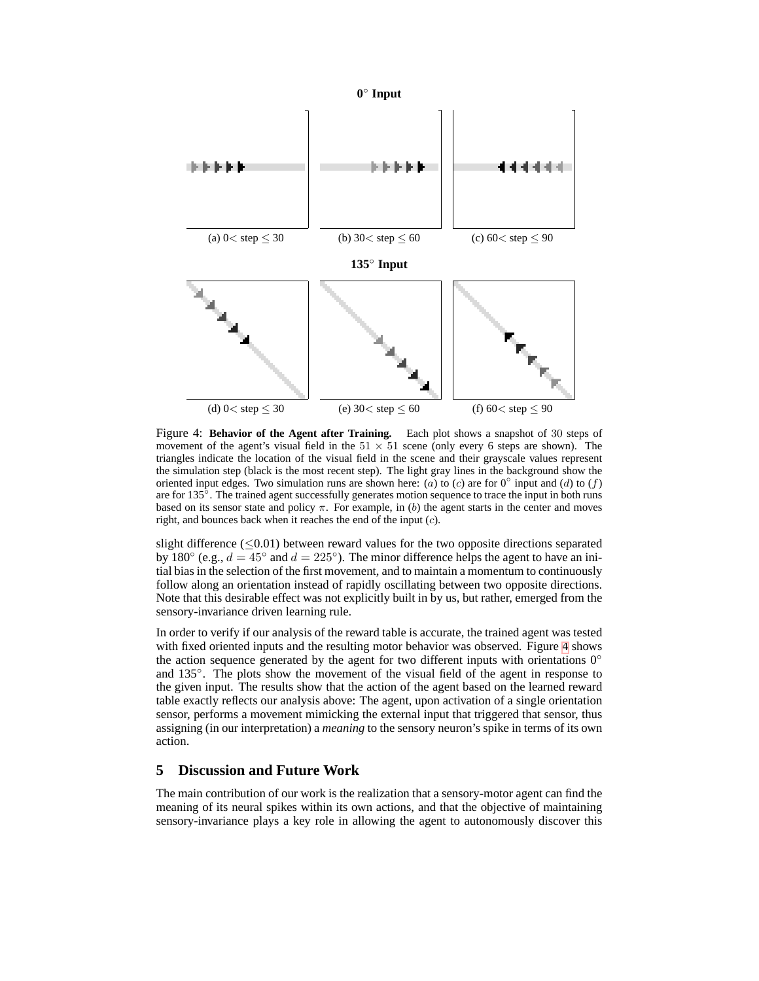

<span id="page-5-0"></span>Figure 4: **Behavior of the Agent after Training.** Each plot shows a snapshot of 30 steps of movement of the agent's visual field in the  $51 \times 51$  scene (only every 6 steps are shown). The triangles indicate the location of the visual field in the scene and their grayscale values represent the simulation step (black is the most recent step). The light gray lines in the background show the oriented input edges. Two simulation runs are shown here: (a) to (c) are for  $0^\circ$  input and (d) to (f) are for 135°. The trained agent successfully generates motion sequence to trace the input in both runs based on its sensor state and policy  $\pi$ . For example, in (b) the agent starts in the center and moves right, and bounces back when it reaches the end of the input (c).

slight difference  $(\leq 0.01)$  between reward values for the two opposite directions separated by 180 $\degree$  (e.g.,  $d = 45\degree$  and  $d = 225\degree$ ). The minor difference helps the agent to have an initial bias in the selection of the first movement, and to maintain a momentum to continuously follow along an orientation instead of rapidly oscillating between two opposite directions. Note that this desirable effect was not explicitly built in by us, but rather, emerged from the sensory-invariance driven learning rule.

In order to verify if our analysis of the reward table is accurate, the trained agent was tested with fixed oriented inputs and the resulting motor behavior was observed. Figure [4](#page-5-0) shows the action sequence generated by the agent for two different inputs with orientations  $0^\circ$ and 135°. The plots show the movement of the visual field of the agent in response to the given input. The results show that the action of the agent based on the learned reward table exactly reflects our analysis above: The agent, upon activation of a single orientation sensor, performs a movement mimicking the external input that triggered that sensor, thus assigning (in our interpretation) a *meaning* to the sensory neuron's spike in terms of its own action.

# **5 Discussion and Future Work**

The main contribution of our work is the realization that a sensory-motor agent can find the meaning of its neural spikes within its own actions, and that the objective of maintaining sensory-invariance plays a key role in allowing the agent to autonomously discover this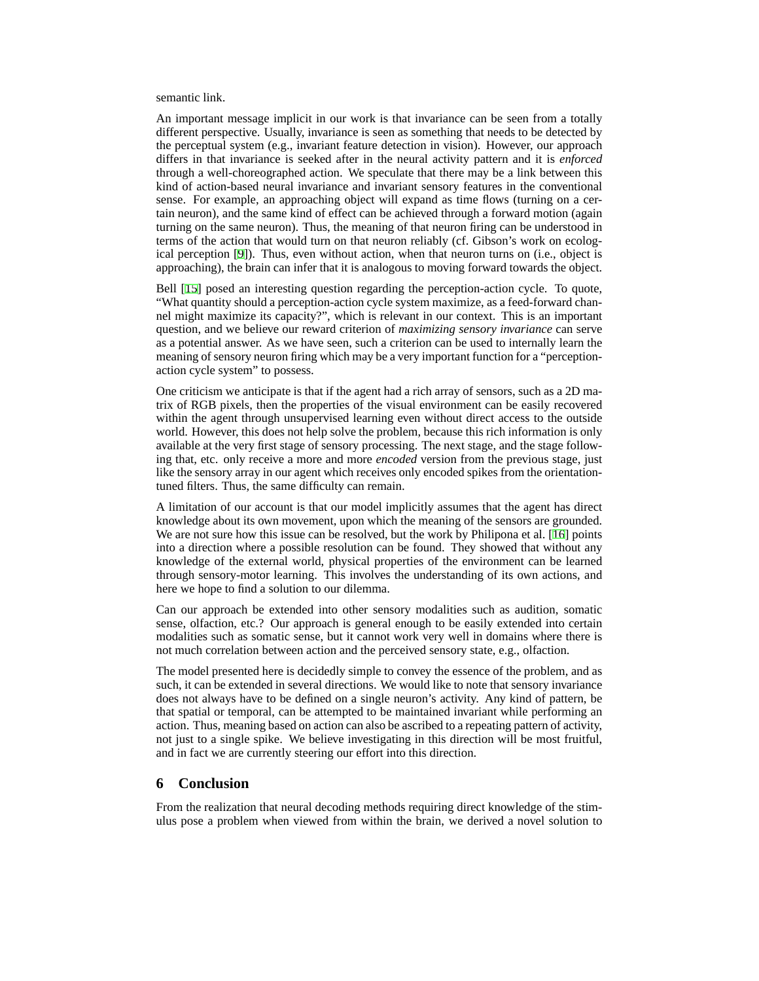#### semantic link.

An important message implicit in our work is that invariance can be seen from a totally different perspective. Usually, invariance is seen as something that needs to be detected by the perceptual system (e.g., invariant feature detection in vision). However, our approach differs in that invariance is seeked after in the neural activity pattern and it is *enforced* through a well-choreographed action. We speculate that there may be a link between this kind of action-based neural invariance and invariant sensory features in the conventional sense. For example, an approaching object will expand as time flows (turning on a certain neuron), and the same kind of effect can be achieved through a forward motion (again turning on the same neuron). Thus, the meaning of that neuron firing can be understood in terms of the action that would turn on that neuron reliably (cf. Gibson's work on ecological perception [[9\]](#page-7-8)). Thus, even without action, when that neuron turns on (i.e., object is approaching), the brain can infer that it is analogous to moving forward towards the object.

Bell [\[15](#page-7-14)] posed an interesting question regarding the perception-action cycle. To quote, "What quantity should a perception-action cycle system maximize, as a feed-forward channel might maximize its capacity?", which is relevant in our context. This is an important question, and we believe our reward criterion of *maximizing sensory invariance* can serve as a potential answer. As we have seen, such a criterion can be used to internally learn the meaning of sensory neuron firing which may be a very important function for a "perceptionaction cycle system" to possess.

One criticism we anticipate is that if the agent had a rich array of sensors, such as a 2D matrix of RGB pixels, then the properties of the visual environment can be easily recovered within the agent through unsupervised learning even without direct access to the outside world. However, this does not help solve the problem, because this rich information is only available at the very first stage of sensory processing. The next stage, and the stage following that, etc. only receive a more and more *encoded* version from the previous stage, just like the sensory array in our agent which receives only encoded spikes from the orientationtuned filters. Thus, the same difficulty can remain.

A limitation of our account is that our model implicitly assumes that the agent has direct knowledge about its own movement, upon which the meaning of the sensors are grounded. We are not sure how this issue can be resolved, but the work by Philipona et al. [[16\]](#page-7-15) points into a direction where a possible resolution can be found. They showed that without any knowledge of the external world, physical properties of the environment can be learned through sensory-motor learning. This involves the understanding of its own actions, and here we hope to find a solution to our dilemma.

Can our approach be extended into other sensory modalities such as audition, somatic sense, olfaction, etc.? Our approach is general enough to be easily extended into certain modalities such as somatic sense, but it cannot work very well in domains where there is not much correlation between action and the perceived sensory state, e.g., olfaction.

The model presented here is decidedly simple to convey the essence of the problem, and as such, it can be extended in several directions. We would like to note that sensory invariance does not always have to be defined on a single neuron's activity. Any kind of pattern, be that spatial or temporal, can be attempted to be maintained invariant while performing an action. Thus, meaning based on action can also be ascribed to a repeating pattern of activity, not just to a single spike. We believe investigating in this direction will be most fruitful, and in fact we are currently steering our effort into this direction.

# **6 Conclusion**

From the realization that neural decoding methods requiring direct knowledge of the stimulus pose a problem when viewed from within the brain, we derived a novel solution to